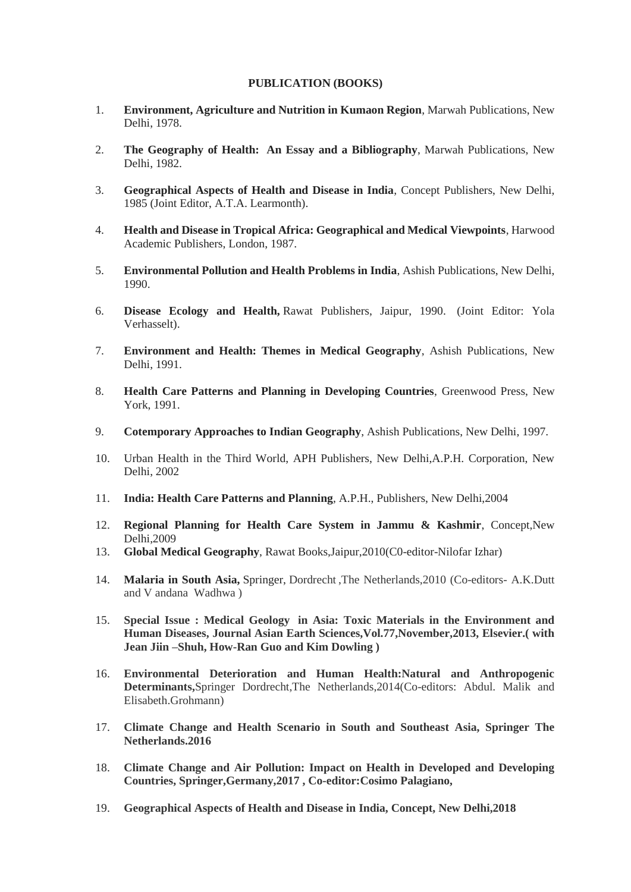## **PUBLICATION (BOOKS)**

- 1. **Environment, Agriculture and Nutrition in Kumaon Region**, Marwah Publications, New Delhi, 1978.
- 2. **The Geography of Health: An Essay and a Bibliography**, Marwah Publications, New Delhi, 1982.
- 3. **Geographical Aspects of Health and Disease in India**, Concept Publishers, New Delhi, 1985 (Joint Editor, A.T.A. Learmonth).
- 4. **Health and Disease in Tropical Africa: Geographical and Medical Viewpoints**, Harwood Academic Publishers, London, 1987.
- 5. **Environmental Pollution and Health Problems in India**, Ashish Publications, New Delhi, 1990.
- 6. **Disease Ecology and Health,** Rawat Publishers, Jaipur, 1990. (Joint Editor: Yola Verhasselt).
- 7. **Environment and Health: Themes in Medical Geography**, Ashish Publications, New Delhi, 1991.
- 8. **Health Care Patterns and Planning in Developing Countries**, Greenwood Press, New York, 1991.
- 9. **Cotemporary Approaches to Indian Geography**, Ashish Publications, New Delhi, 1997.
- 10. Urban Health in the Third World, APH Publishers, New Delhi,A.P.H. Corporation, New Delhi, 2002
- 11. **India: Health Care Patterns and Planning**, A.P.H., Publishers, New Delhi,2004
- 12. **Regional Planning for Health Care System in Jammu & Kashmir**, Concept,New Delhi,2009
- 13. **Global Medical Geography**, Rawat Books,Jaipur,2010(C0-editor-Nilofar Izhar)
- 14. **Malaria in South Asia,** Springer, Dordrecht ,The Netherlands,2010 (Co-editors- A.K.Dutt and V andana Wadhwa )
- 15. **Special Issue : Medical Geology in Asia: Toxic Materials in the Environment and Human Diseases, Journal Asian Earth Sciences,Vol.77,November,2013, Elsevier.( with Jean Jiin –Shuh, How-Ran Guo and Kim Dowling )**
- 16. **Environmental Deterioration and Human Health:Natural and Anthropogenic Determinants,**Springer Dordrecht,The Netherlands,2014(Co-editors: Abdul. Malik and Elisabeth.Grohmann)
- 17. **Climate Change and Health Scenario in South and Southeast Asia, Springer The Netherlands.2016**
- 18. **Climate Change and Air Pollution: Impact on Health in Developed and Developing Countries, Springer,Germany,2017 , Co-editor:Cosimo Palagiano,**
- 19. **Geographical Aspects of Health and Disease in India, Concept, New Delhi,2018**